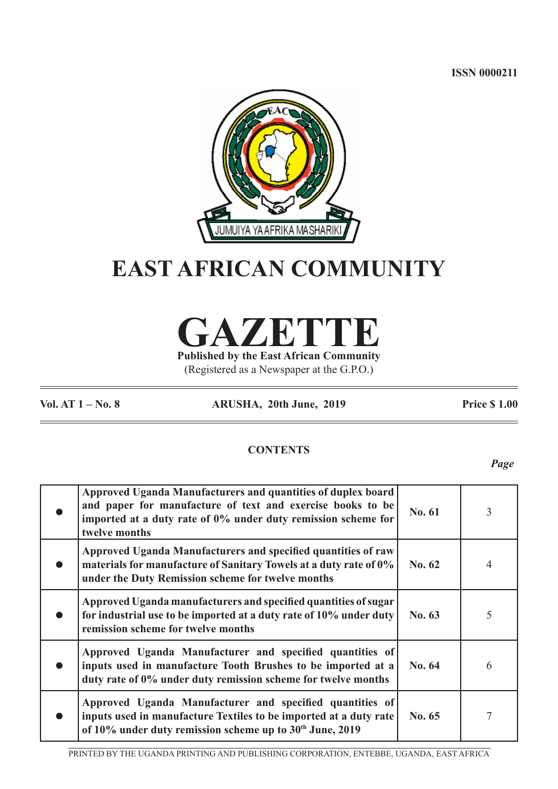**ISSN 0000211**



# **EAST AFRICAN COMMUNITY**

**GAZETTE Published by the East African Community**

(Registered as a Newspaper at the G.P.O.)

**Vol. AT 1 – No. 8 ARUSHA, 20th June, 2019 Price \$ 1.00**

## **CONTENTS**

*Page*

| Approved Uganda Manufacturers and quantities of duplex board<br>and paper for manufacture of text and exercise books to be<br>imported at a duty rate of 0% under duty remission scheme for<br>twelve months | No. 61 | 3 |
|--------------------------------------------------------------------------------------------------------------------------------------------------------------------------------------------------------------|--------|---|
| Approved Uganda Manufacturers and specified quantities of raw<br>materials for manufacture of Sanitary Towels at a duty rate of 0%<br>under the Duty Remission scheme for twelve months                      | No. 62 | 4 |
| Approved Uganda manufacturers and specified quantities of sugar<br>for industrial use to be imported at a duty rate of 10% under duty<br>remission scheme for twelve months                                  | No. 63 | 5 |
| Approved Uganda Manufacturer and specified quantities of<br>inputs used in manufacture Tooth Brushes to be imported at a<br>duty rate of 0% under duty remission scheme for twelve months                    | No. 64 | 6 |
| Approved Uganda Manufacturer and specified quantities of<br>inputs used in manufacture Textiles to be imported at a duty rate<br>of 10% under duty remission scheme up to 30th June, 2019                    | No. 65 | 7 |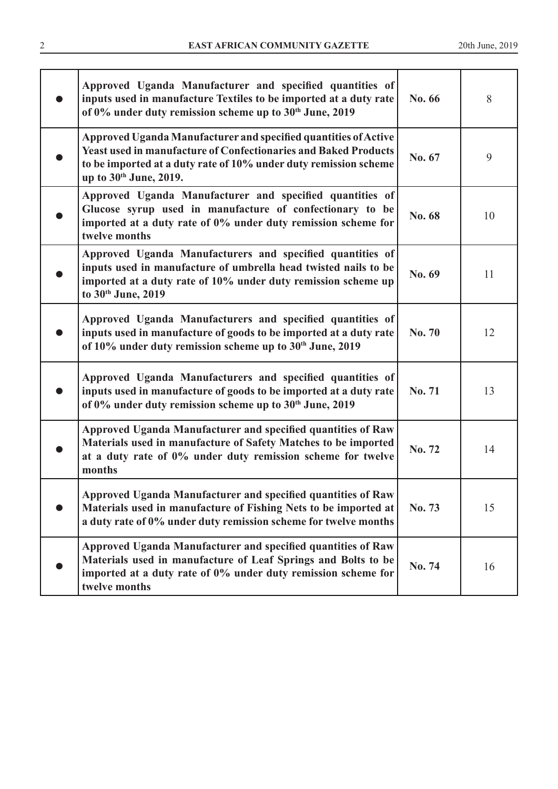| Approved Uganda Manufacturer and specified quantities of<br>inputs used in manufacture Textiles to be imported at a duty rate<br>of 0% under duty remission scheme up to 30th June, 2019                                                | No. 66        | 8  |
|-----------------------------------------------------------------------------------------------------------------------------------------------------------------------------------------------------------------------------------------|---------------|----|
| Approved Uganda Manufacturer and specified quantities of Active<br><b>Yeast used in manufacture of Confectionaries and Baked Products</b><br>to be imported at a duty rate of 10% under duty remission scheme<br>up to 30th June, 2019. | No. 67        | 9  |
| Approved Uganda Manufacturer and specified quantities of<br>Glucose syrup used in manufacture of confectionary to be<br>imported at a duty rate of 0% under duty remission scheme for<br>twelve months                                  | No. 68        | 10 |
| Approved Uganda Manufacturers and specified quantities of<br>inputs used in manufacture of umbrella head twisted nails to be<br>imported at a duty rate of 10% under duty remission scheme up<br>to 30th June, 2019                     | No. 69        | 11 |
| Approved Uganda Manufacturers and specified quantities of<br>inputs used in manufacture of goods to be imported at a duty rate<br>of 10% under duty remission scheme up to 30 <sup>th</sup> June, 2019                                  | <b>No. 70</b> | 12 |
| Approved Uganda Manufacturers and specified quantities of<br>inputs used in manufacture of goods to be imported at a duty rate<br>of 0% under duty remission scheme up to 30th June, 2019                                               | No. 71        | 13 |
| Approved Uganda Manufacturer and specified quantities of Raw<br>Materials used in manufacture of Safety Matches to be imported<br>at a duty rate of 0% under duty remission scheme for twelve<br>months                                 | No. 72        | 14 |
| Approved Uganda Manufacturer and specified quantities of Raw<br>Materials used in manufacture of Fishing Nets to be imported at<br>a duty rate of 0% under duty remission scheme for twelve months                                      | No. 73        | 15 |
| Approved Uganda Manufacturer and specified quantities of Raw<br>Materials used in manufacture of Leaf Springs and Bolts to be<br>imported at a duty rate of 0% under duty remission scheme for<br>twelve months                         | No. 74        | 16 |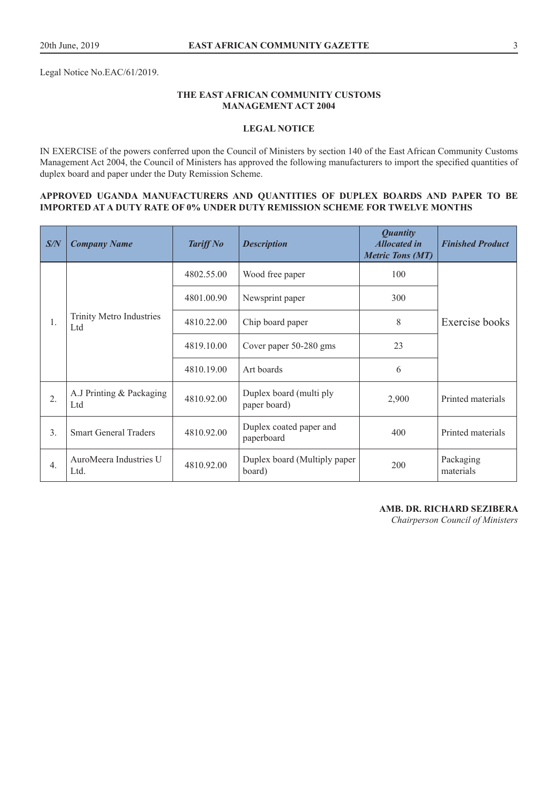Legal Notice No.EAC/61/2019.

## **THE EAST AFRICAN COMMUNITY CUSTOMS MANAGEMENT ACT 2004**

## **LEGAL NOTICE**

IN EXERCISE of the powers conferred upon the Council of Ministers by section 140 of the East African Community Customs Management Act 2004, the Council of Ministers has approved the following manufacturers to import the specified quantities of duplex board and paper under the Duty Remission Scheme.

#### **APPROVED UGANDA MANUFACTURERS AND QUANTITIES OF DUPLEX BOARDS AND PAPER TO BE IMPORTED AT A DUTY RATE OF 0% UNDER DUTY REMISSION SCHEME FOR TWELVE MONTHS**

| S/N              | <b>Company Name</b>             | <b>Tariff No</b> | <b>Description</b>                      | <b>Quantity</b><br><b>Allocated in</b><br><b>Metric Tons (MT)</b> | <b>Finished Product</b> |
|------------------|---------------------------------|------------------|-----------------------------------------|-------------------------------------------------------------------|-------------------------|
|                  |                                 | 4802.55.00       | Wood free paper                         | 100                                                               |                         |
|                  |                                 | 4801.00.90       | Newsprint paper                         | 300                                                               |                         |
| 1.               | Trinity Metro Industries<br>Ltd | 4810.22.00       | Chip board paper                        | 8                                                                 | Exercise books          |
|                  |                                 | 4819.10.00       | Cover paper 50-280 gms                  | 23                                                                |                         |
|                  |                                 | 4810.19.00       | Art boards                              | 6                                                                 |                         |
| 2.               | A.J Printing & Packaging<br>Ltd | 4810.92.00       | Duplex board (multi ply<br>paper board) | 2,900                                                             | Printed materials       |
| 3.               | <b>Smart General Traders</b>    | 4810.92.00       | Duplex coated paper and<br>paperboard   | 400                                                               | Printed materials       |
| $\overline{4}$ . | AuroMeera Industries U<br>Ltd.  | 4810.92.00       | Duplex board (Multiply paper<br>board)  | 200                                                               | Packaging<br>materials  |

**AMB. DR. RICHARD SEZIBERA**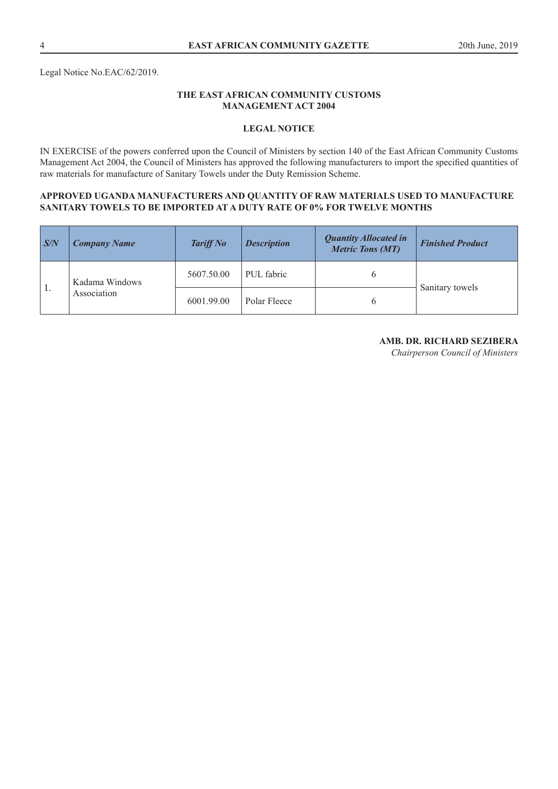## **LEGAL NOTICE**

IN EXERCISE of the powers conferred upon the Council of Ministers by section 140 of the East African Community Customs Management Act 2004, the Council of Ministers has approved the following manufacturers to import the specified quantities of raw materials for manufacture of Sanitary Towels under the Duty Remission Scheme.

#### **APPROVED UGANDA MANUFACTURERS AND QUANTITY OF RAW MATERIALS USED TO MANUFACTURE SANITARY TOWELS TO BE IMPORTED AT A DUTY RATE OF 0% FOR TWELVE MONTHS**

| S/N            | <b>Company Name</b>           | <b>Tariff No</b> | <b>Description</b> | <b>Quantity Allocated in</b><br><b>Metric Tons (MT)</b> | <b>Finished Product</b> |  |
|----------------|-------------------------------|------------------|--------------------|---------------------------------------------------------|-------------------------|--|
| $^{\prime}$ 1. | Kadama Windows<br>Association | 5607.50.00       | PUL fabric         | b                                                       |                         |  |
|                |                               | 6001.99.00       | Polar Fleece       | 6                                                       | Sanitary towels         |  |

#### **AMB. DR. RICHARD SEZIBERA**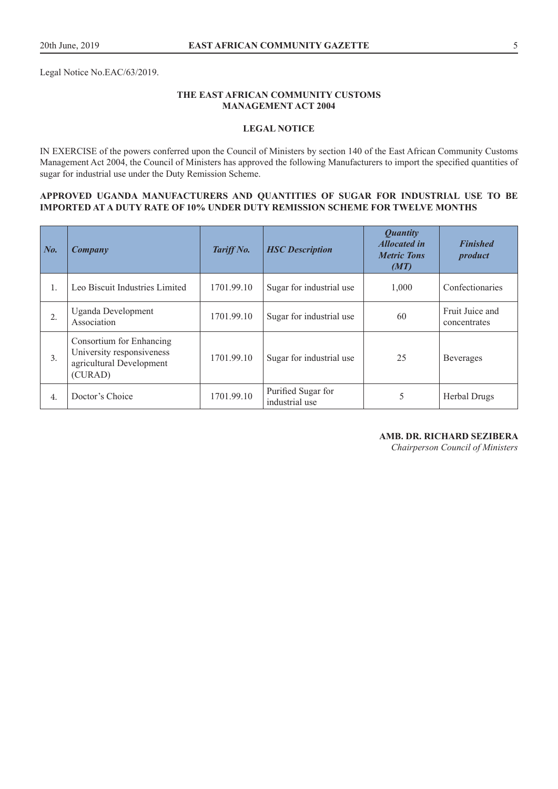Legal Notice No.EAC/63/2019.

## **THE EAST AFRICAN COMMUNITY CUSTOMS MANAGEMENT ACT 2004**

## **LEGAL NOTICE**

IN EXERCISE of the powers conferred upon the Council of Ministers by section 140 of the East African Community Customs Management Act 2004, the Council of Ministers has approved the following Manufacturers to import the specified quantities of sugar for industrial use under the Duty Remission Scheme.

#### **APPROVED UGANDA MANUFACTURERS AND QUANTITIES OF SUGAR FOR INDUSTRIAL USE TO BE IMPORTED AT A DUTY RATE OF 10% UNDER DUTY REMISSION SCHEME FOR TWELVE MONTHS**

| $\mid$ No. | Company                                                                                      | Tariff No. | <b>HSC</b> Description               | <b>Quantity</b><br><b>Allocated in</b><br><b>Metric Tons</b><br>(MT) | <b>Finished</b><br>product      |
|------------|----------------------------------------------------------------------------------------------|------------|--------------------------------------|----------------------------------------------------------------------|---------------------------------|
| 1.         | Leo Biscuit Industries Limited                                                               | 1701.99.10 | Sugar for industrial use             | 1,000                                                                | Confectionaries                 |
| 2.         | <b>Uganda Development</b><br>Association                                                     | 1701.99.10 | Sugar for industrial use             | 60                                                                   | Fruit Juice and<br>concentrates |
| 3.         | Consortium for Enhancing<br>University responsiveness<br>agricultural Development<br>(CURAD) | 1701.99.10 | Sugar for industrial use             | 25                                                                   | <b>Beverages</b>                |
| 4.         | Doctor's Choice                                                                              | 1701.99.10 | Purified Sugar for<br>industrial use | 5                                                                    | Herbal Drugs                    |

#### **AMB. DR. RICHARD SEZIBERA**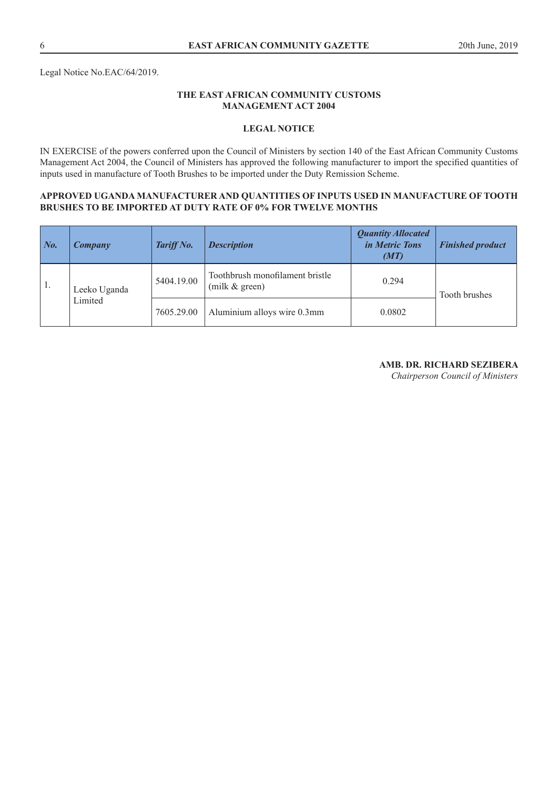## **LEGAL NOTICE**

IN EXERCISE of the powers conferred upon the Council of Ministers by section 140 of the East African Community Customs Management Act 2004, the Council of Ministers has approved the following manufacturer to import the specified quantities of inputs used in manufacture of Tooth Brushes to be imported under the Duty Remission Scheme.

#### **APPROVED UGANDA MANUFACTURER AND QUANTITIES OF INPUTS USED IN MANUFACTURE OF TOOTH BRUSHES TO BE IMPORTED AT DUTY RATE OF 0% FOR TWELVE MONTHS**

| $\mid$ No. | Company      | Tariff No. | <b>Description</b>                                  | <b>Quantity Allocated</b><br>in Metric Tons<br>(MT) | <b>Finished product</b> |
|------------|--------------|------------|-----------------------------------------------------|-----------------------------------------------------|-------------------------|
| -1.        | Leeko Uganda | 5404.19.00 | Toothbrush monofilament bristle<br>(milk $&$ green) | 0.294                                               | Tooth brushes           |
|            | Limited      | 7605.29.00 | Aluminium alloys wire 0.3mm                         | 0.0802                                              |                         |

## **AMB. DR. RICHARD SEZIBERA**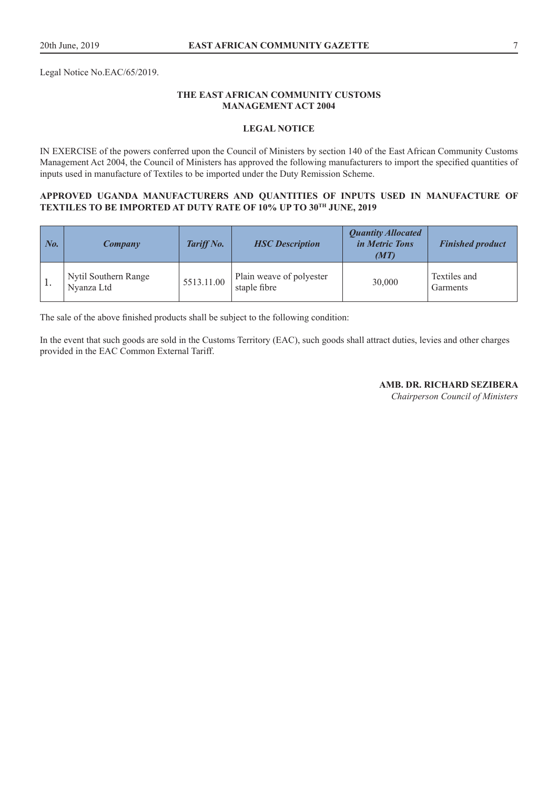Legal Notice No.EAC/65/2019.

## **THE EAST AFRICAN COMMUNITY CUSTOMS MANAGEMENT ACT 2004**

## **LEGAL NOTICE**

IN EXERCISE of the powers conferred upon the Council of Ministers by section 140 of the East African Community Customs Management Act 2004, the Council of Ministers has approved the following manufacturers to import the specified quantities of inputs used in manufacture of Textiles to be imported under the Duty Remission Scheme.

#### **APPROVED UGANDA MANUFACTURERS AND QUANTITIES OF INPUTS USED IN MANUFACTURE OF TEXTILES TO BE IMPORTED AT DUTY RATE OF 10% UP TO 30TH JUNE, 2019**

| $\mid$ No. | Company                            | Tariff No. | <b>HSC</b> Description                   | <b>Quantity Allocated</b><br><i>in Metric Tons</i><br>(MT) | <b>Finished product</b>  |
|------------|------------------------------------|------------|------------------------------------------|------------------------------------------------------------|--------------------------|
| 1.         | Nytil Southern Range<br>Nyanza Ltd | 5513.11.00 | Plain weave of polyester<br>staple fibre | 30,000                                                     | Textiles and<br>Garments |

The sale of the above finished products shall be subject to the following condition:

In the event that such goods are sold in the Customs Territory (EAC), such goods shall attract duties, levies and other charges provided in the EAC Common External Tariff.

**AMB. DR. RICHARD SEZIBERA**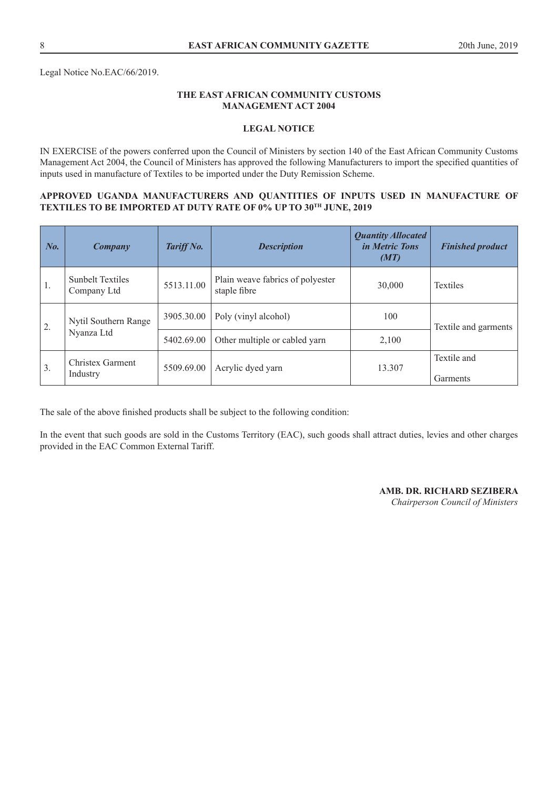Legal Notice No.EAC/66/2019.

## **THE EAST AFRICAN COMMUNITY CUSTOMS MANAGEMENT ACT 2004**

## **LEGAL NOTICE**

IN EXERCISE of the powers conferred upon the Council of Ministers by section 140 of the East African Community Customs Management Act 2004, the Council of Ministers has approved the following Manufacturers to import the specified quantities of inputs used in manufacture of Textiles to be imported under the Duty Remission Scheme.

#### **APPROVED UGANDA MANUFACTURERS AND QUANTITIES OF INPUTS USED IN MANUFACTURE OF TEXTILES TO BE IMPORTED AT DUTY RATE OF 0% UP TO 30TH JUNE, 2019**

| No. | Company                                | Tariff No. | <b>Description</b>                               | <b>Quantity Allocated</b><br><i>in Metric Tons</i><br>(MT) | <b>Finished product</b> |
|-----|----------------------------------------|------------|--------------------------------------------------|------------------------------------------------------------|-------------------------|
| 1.  | <b>Sunbelt Textiles</b><br>Company Ltd | 5513.11.00 | Plain weave fabrics of polyester<br>staple fibre | 30,000                                                     | Textiles                |
| 2.  | Nytil Southern Range                   | 3905.30.00 | Poly (vinyl alcohol)                             | 100                                                        | Textile and garments    |
|     |                                        | Nyanza Ltd | 5402.69.00                                       | Other multiple or cabled yarn                              | 2,100                   |
| 3.  | <b>Christex Garment</b><br>Industry    | 5509.69.00 | Acrylic dyed yarn                                | 13.307                                                     | Textile and<br>Garments |

The sale of the above finished products shall be subject to the following condition:

In the event that such goods are sold in the Customs Territory (EAC), such goods shall attract duties, levies and other charges provided in the EAC Common External Tariff.

## **AMB. DR. RICHARD SEZIBERA**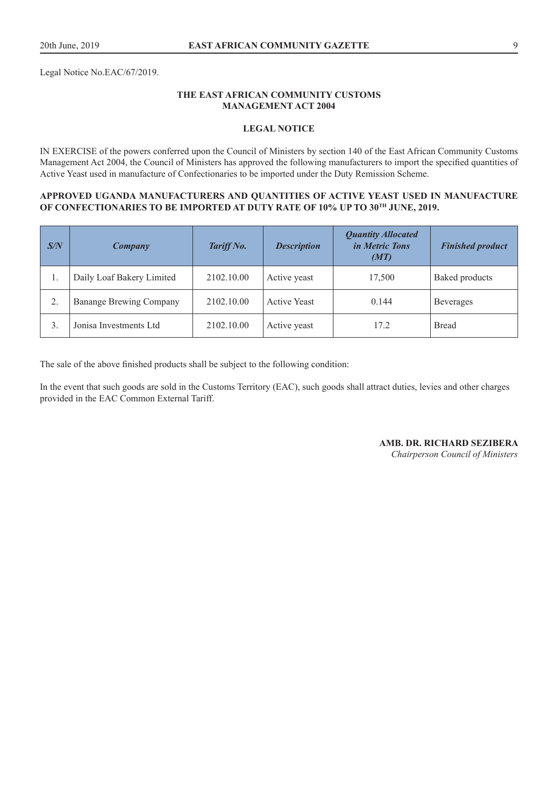Legal Notice No.EAC/67/2019.

## **THE EAST AFRICAN COMMUNITY CUSTOMS MANAGEMENT ACT 2004**

## **LEGAL NOTICE**

IN EXERCISE of the powers conferred upon the Council of Ministers by section 140 of the East African Community Customs Management Act 2004, the Council of Ministers has approved the following manufacturers to import the specified quantities of Active Yeast used in manufacture of Confectionaries to be imported under the Duty Remission Scheme.

#### **APPROVED UGANDA MANUFACTURERS AND QUANTITIES OF ACTIVE YEAST USED IN MANUFACTURE**  OF CONFECTIONARIES TO BE IMPORTED AT DUTY RATE OF 10% UP TO 30<sup>TH</sup> JUNE, 2019.

| $S\!/\!N$ | Company                        | Tariff No. | <b>Description</b>  | <b>Quantity Allocated</b><br><i>in Metric Tons</i><br>(MT) | <b>Finished product</b> |
|-----------|--------------------------------|------------|---------------------|------------------------------------------------------------|-------------------------|
| 1.        | Daily Loaf Bakery Limited      | 2102.10.00 | Active yeast        | 17,500                                                     | <b>Baked products</b>   |
|           | <b>Banange Brewing Company</b> | 2102.10.00 | <b>Active Yeast</b> | 0.144                                                      | <b>Beverages</b>        |
| 3.        | Jonisa Investments Ltd         | 2102.10.00 | Active yeast        | 17.2                                                       | <b>Bread</b>            |

The sale of the above finished products shall be subject to the following condition:

In the event that such goods are sold in the Customs Territory (EAC), such goods shall attract duties, levies and other charges provided in the EAC Common External Tariff.

**AMB. DR. RICHARD SEZIBERA**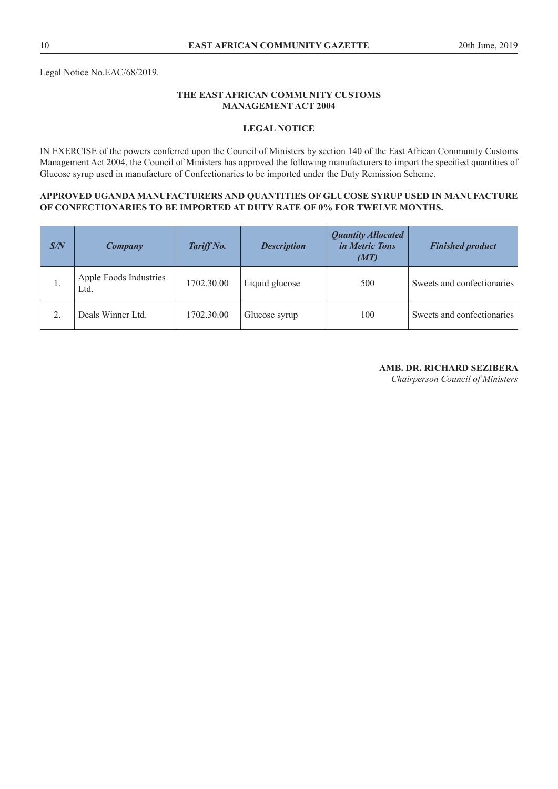## **LEGAL NOTICE**

IN EXERCISE of the powers conferred upon the Council of Ministers by section 140 of the East African Community Customs Management Act 2004, the Council of Ministers has approved the following manufacturers to import the specified quantities of Glucose syrup used in manufacture of Confectionaries to be imported under the Duty Remission Scheme.

#### **APPROVED UGANDA MANUFACTURERS AND QUANTITIES OF GLUCOSE SYRUP USED IN MANUFACTURE OF CONFECTIONARIES TO BE IMPORTED AT DUTY RATE OF 0% FOR TWELVE MONTHS.**

| S/N | Company                        | Tariff No. | <b>Description</b> | <b>Quantity Allocated</b><br><i>in Metric Tons</i><br>(MT) | <b>Finished product</b>    |
|-----|--------------------------------|------------|--------------------|------------------------------------------------------------|----------------------------|
| .,  | Apple Foods Industries<br>Ltd. | 1702.30.00 | Liquid glucose     | 500                                                        | Sweets and confectionaries |
|     | Deals Winner Ltd.              | 1702.30.00 | Glucose syrup      | 100                                                        | Sweets and confectionaries |

## **AMB. DR. RICHARD SEZIBERA**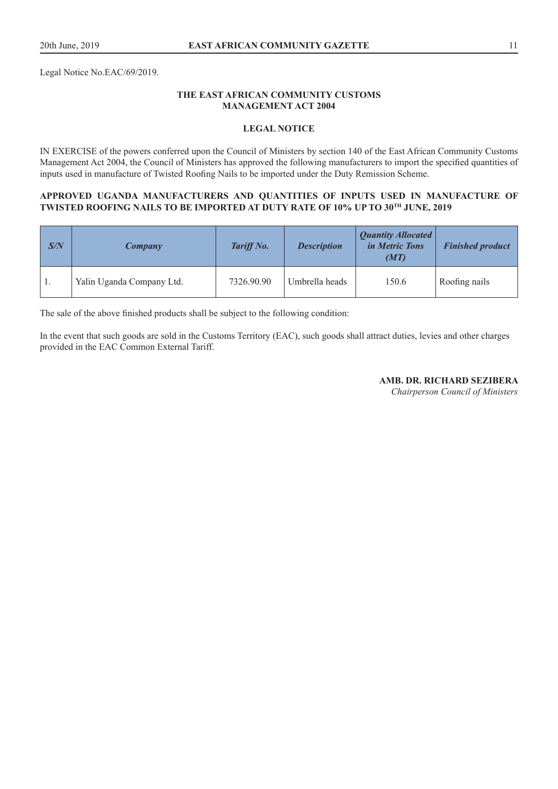Legal Notice No.EAC/69/2019.

## **THE EAST AFRICAN COMMUNITY CUSTOMS MANAGEMENT ACT 2004**

## **LEGAL NOTICE**

IN EXERCISE of the powers conferred upon the Council of Ministers by section 140 of the East African Community Customs Management Act 2004, the Council of Ministers has approved the following manufacturers to import the specified quantities of inputs used in manufacture of Twisted Roofing Nails to be imported under the Duty Remission Scheme.

#### **APPROVED UGANDA MANUFACTURERS AND QUANTITIES OF INPUTS USED IN MANUFACTURE OF TWISTED ROOFING NAILS TO BE IMPORTED AT DUTY RATE OF 10% UP TO 30TH JUNE, 2019**

| S/N | Company                   | Tariff No. | <b>Description</b> | Quantity Allocated<br><i>in Metric Tons</i><br>(MT) | <b>Finished product</b> |
|-----|---------------------------|------------|--------------------|-----------------------------------------------------|-------------------------|
|     | Yalin Uganda Company Ltd. | 7326.90.90 | Umbrella heads     | 150.6                                               | Roofing nails           |

The sale of the above finished products shall be subject to the following condition:

In the event that such goods are sold in the Customs Territory (EAC), such goods shall attract duties, levies and other charges provided in the EAC Common External Tariff.

**AMB. DR. RICHARD SEZIBERA**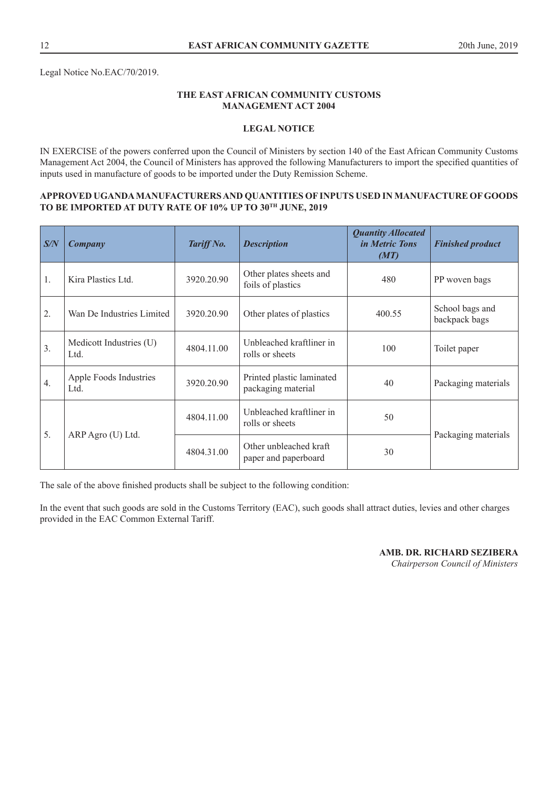## **LEGAL NOTICE**

IN EXERCISE of the powers conferred upon the Council of Ministers by section 140 of the East African Community Customs Management Act 2004, the Council of Ministers has approved the following Manufacturers to import the specified quantities of inputs used in manufacture of goods to be imported under the Duty Remission Scheme.

#### **APPROVED UGANDA MANUFACTURERS AND QUANTITIES OF INPUTS USED IN MANUFACTURE OF GOODS TO BE IMPORTED AT DUTY RATE OF 10% UP TO 30TH JUNE, 2019**

| S/N | Company                         | Tariff No. | <b>Description</b>                              | <b>Quantity Allocated</b><br><i>in Metric Tons</i><br>(MT) | <b>Finished product</b>          |
|-----|---------------------------------|------------|-------------------------------------------------|------------------------------------------------------------|----------------------------------|
| 1.  | Kira Plastics Ltd.              | 3920.20.90 | Other plates sheets and<br>foils of plastics    | 480                                                        | PP woven bags                    |
| 2.  | Wan De Industries Limited       | 3920.20.90 | Other plates of plastics                        | 400.55                                                     | School bags and<br>backpack bags |
| 3.  | Medicott Industries (U)<br>Ltd. | 4804.11.00 | Unbleached kraftliner in<br>rolls or sheets     | 100                                                        | Toilet paper                     |
| 4.  | Apple Foods Industries<br>Ltd.  | 3920.20.90 | Printed plastic laminated<br>packaging material | 40                                                         | Packaging materials              |
| 5.  | ARP Agro (U) Ltd.               | 4804.11.00 | Unbleached kraftliner in<br>rolls or sheets     | 50                                                         |                                  |
|     |                                 | 4804.31.00 | Other unbleached kraft<br>paper and paperboard  | 30                                                         | Packaging materials              |

The sale of the above finished products shall be subject to the following condition:

In the event that such goods are sold in the Customs Territory (EAC), such goods shall attract duties, levies and other charges provided in the EAC Common External Tariff.

**AMB. DR. RICHARD SEZIBERA**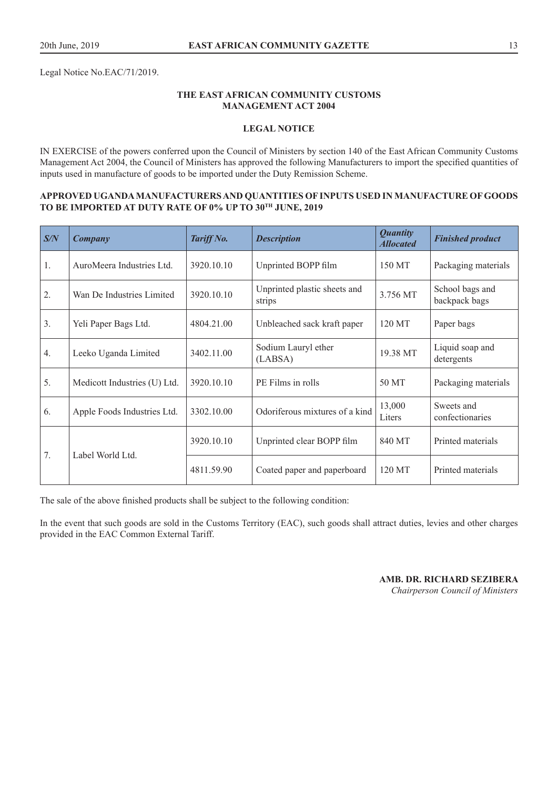Legal Notice No.EAC/71/2019.

## **THE EAST AFRICAN COMMUNITY CUSTOMS MANAGEMENT ACT 2004**

## **LEGAL NOTICE**

IN EXERCISE of the powers conferred upon the Council of Ministers by section 140 of the East African Community Customs Management Act 2004, the Council of Ministers has approved the following Manufacturers to import the specified quantities of inputs used in manufacture of goods to be imported under the Duty Remission Scheme.

#### **APPROVED UGANDA MANUFACTURERS AND QUANTITIES OF INPUTS USED IN MANUFACTURE OF GOODS TO BE IMPORTED AT DUTY RATE OF 0% UP TO 30TH JUNE, 2019**

| S/N | Company                      | Tariff No. | <b>Description</b>                     | <b>Quantity</b><br><b>Allocated</b> | <b>Finished product</b>          |
|-----|------------------------------|------------|----------------------------------------|-------------------------------------|----------------------------------|
| 1.  | AuroMeera Industries Ltd.    | 3920.10.10 | Unprinted BOPP film                    | 150 MT                              | Packaging materials              |
| 2.  | Wan De Industries Limited    | 3920.10.10 | Unprinted plastic sheets and<br>strips | 3.756 MT                            | School bags and<br>backpack bags |
| 3.  | Yeli Paper Bags Ltd.         | 4804.21.00 | Unbleached sack kraft paper            | 120 MT                              | Paper bags                       |
| 4.  | Leeko Uganda Limited         | 3402.11.00 | Sodium Lauryl ether<br>(LABSA)         | 19.38 MT                            | Liquid soap and<br>detergents    |
| 5.  | Medicott Industries (U) Ltd. | 3920.10.10 | PE Films in rolls                      | 50 MT                               | Packaging materials              |
| 6.  | Apple Foods Industries Ltd.  | 3302.10.00 | Odoriferous mixtures of a kind         | 13,000<br>Liters                    | Sweets and<br>confectionaries    |
| 7.  | Label World Ltd.             | 3920.10.10 | Unprinted clear BOPP film              | 840 MT                              | Printed materials                |
|     |                              | 4811.59.90 | Coated paper and paperboard            | 120 MT                              | Printed materials                |

The sale of the above finished products shall be subject to the following condition:

In the event that such goods are sold in the Customs Territory (EAC), such goods shall attract duties, levies and other charges provided in the EAC Common External Tariff.

> **AMB. DR. RICHARD SEZIBERA**  *Chairperson Council of Ministers*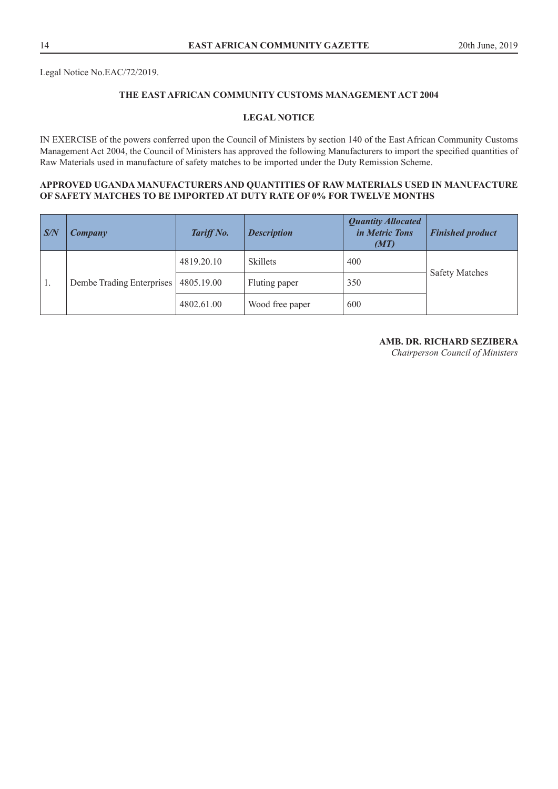Legal Notice No.EAC/72/2019.

## **THE EAST AFRICAN COMMUNITY CUSTOMS MANAGEMENT ACT 2004**

## **LEGAL NOTICE**

IN EXERCISE of the powers conferred upon the Council of Ministers by section 140 of the East African Community Customs Management Act 2004, the Council of Ministers has approved the following Manufacturers to import the specified quantities of Raw Materials used in manufacture of safety matches to be imported under the Duty Remission Scheme.

## **APPROVED UGANDA MANUFACTURERS AND QUANTITIES OF RAW MATERIALS USED IN MANUFACTURE OF SAFETY MATCHES TO BE IMPORTED AT DUTY RATE OF 0% FOR TWELVE MONTHS**

| S/N | Company                   | Tariff No. | <b>Description</b> | <b>Quantity Allocated</b><br>in Metric Tons<br>(MT) | <b>Finished product</b> |
|-----|---------------------------|------------|--------------------|-----------------------------------------------------|-------------------------|
| 1.  | Dembe Trading Enterprises | 4819.20.10 | <b>Skillets</b>    | 400                                                 | <b>Safety Matches</b>   |
|     |                           | 4805.19.00 | Fluting paper      | 350                                                 |                         |
|     |                           | 4802.61.00 | Wood free paper    | 600                                                 |                         |

## **AMB. DR. RICHARD SEZIBERA**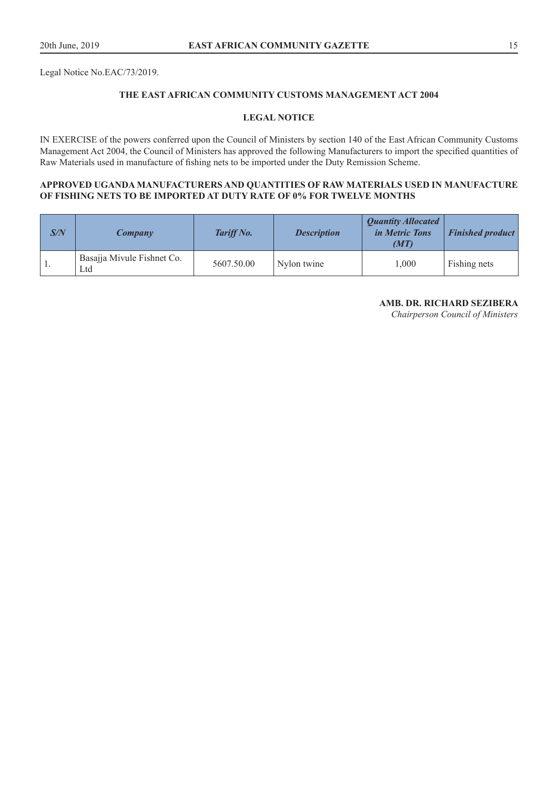Legal Notice No.EAC/73/2019.

## **THE EAST AFRICAN COMMUNITY CUSTOMS MANAGEMENT ACT 2004**

#### **LEGAL NOTICE**

IN EXERCISE of the powers conferred upon the Council of Ministers by section 140 of the East African Community Customs Management Act 2004, the Council of Ministers has approved the following Manufacturers to import the specified quantities of Raw Materials used in manufacture of fishing nets to be imported under the Duty Remission Scheme.

## **APPROVED UGANDA MANUFACTURERS AND QUANTITIES OF RAW MATERIALS USED IN MANUFACTURE OF FISHING NETS TO BE IMPORTED AT DUTY RATE OF 0% FOR TWELVE MONTHS**

| S/N | Company                           | Tariff No. | <b>Description</b> | <b>Quantity Allocated</b><br><i>in Metric Tons</i><br>(MT) | <b>Finished product</b> |
|-----|-----------------------------------|------------|--------------------|------------------------------------------------------------|-------------------------|
| -1. | Basajja Mivule Fishnet Co.<br>Ltd | 5607.50.00 | Nylon twine        | 000,1                                                      | Fishing nets            |

#### **AMB. DR. RICHARD SEZIBERA**